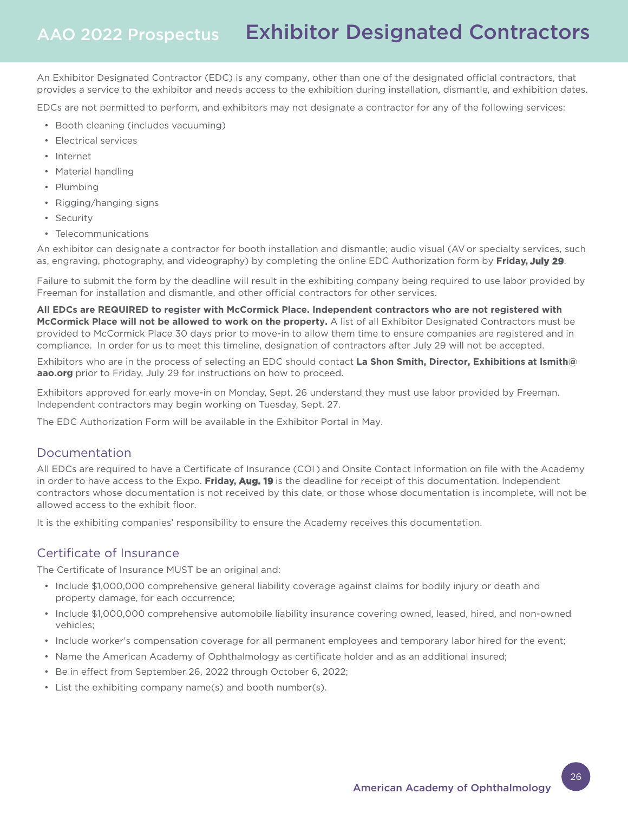An Exhibitor Designated Contractor (EDC) is any company, other than one of the designated official contractors, that provides a service to the exhibitor and needs access to the exhibition during installation, dismantle, and exhibition dates.

EDCs are not permitted to perform, and exhibitors may not designate a contractor for any of the following services:

- Booth cleaning (includes vacuuming)
- Electrical services
- Internet
- Material handling
- Plumbing
- Rigging/hanging signs
- Security
- Telecommunications

An exhibitor can designate a contractor for booth installation and dismantle; audio visual (AV or specialty services, such as, engraving, photography, and videography) by completing the online EDC Authorization form by **Friday, July 29**.

Failure to submit the form by the deadline will result in the exhibiting company being required to use labor provided by Freeman for installation and dismantle, and other official contractors for other services.

**All EDCs are REQUIRED to register with McCormick Place. Independent contractors who are not registered with McCormick Place will not be allowed to work on the property.** A list of all Exhibitor Designated Contractors must be provided to McCormick Place 30 days prior to move-in to allow them time to ensure companies are registered and in compliance. In order for us to meet this timeline, designation of contractors after July 29 will not be accepted.

Exhibitors who are in the process of selecting an EDC should contact **La Shon Smith, Director, Exhibitions at lsmith@ aao.org** prior to Friday, July 29 for instructions on how to proceed.

Exhibitors approved for early move-in on Monday, Sept. 26 understand they must use labor provided by Freeman. Independent contractors may begin working on Tuesday, Sept. 27.

The EDC Authorization Form will be available in the Exhibitor Portal in May.

### Documentation

All EDCs are required to have a Certificate of Insurance (COI ) and Onsite Contact Information on file with the Academy in order to have access to the Expo. **Friday, Aug. 19** is the deadline for receipt of this documentation. Independent contractors whose documentation is not received by this date, or those whose documentation is incomplete, will not be allowed access to the exhibit floor.

It is the exhibiting companies' responsibility to ensure the Academy receives this documentation.

## Certificate of Insurance

The Certificate of Insurance MUST be an original and:

- Include \$1,000,000 comprehensive general liability coverage against claims for bodily injury or death and property damage, for each occurrence;
- Include \$1,000,000 comprehensive automobile liability insurance covering owned, leased, hired, and non-owned vehicles;
- Include worker's compensation coverage for all permanent employees and temporary labor hired for the event;
- Name the American Academy of Ophthalmology as certificate holder and as an additional insured;
- Be in effect from September 26, 2022 through October 6, 2022;
- List the exhibiting company name(s) and booth number(s).